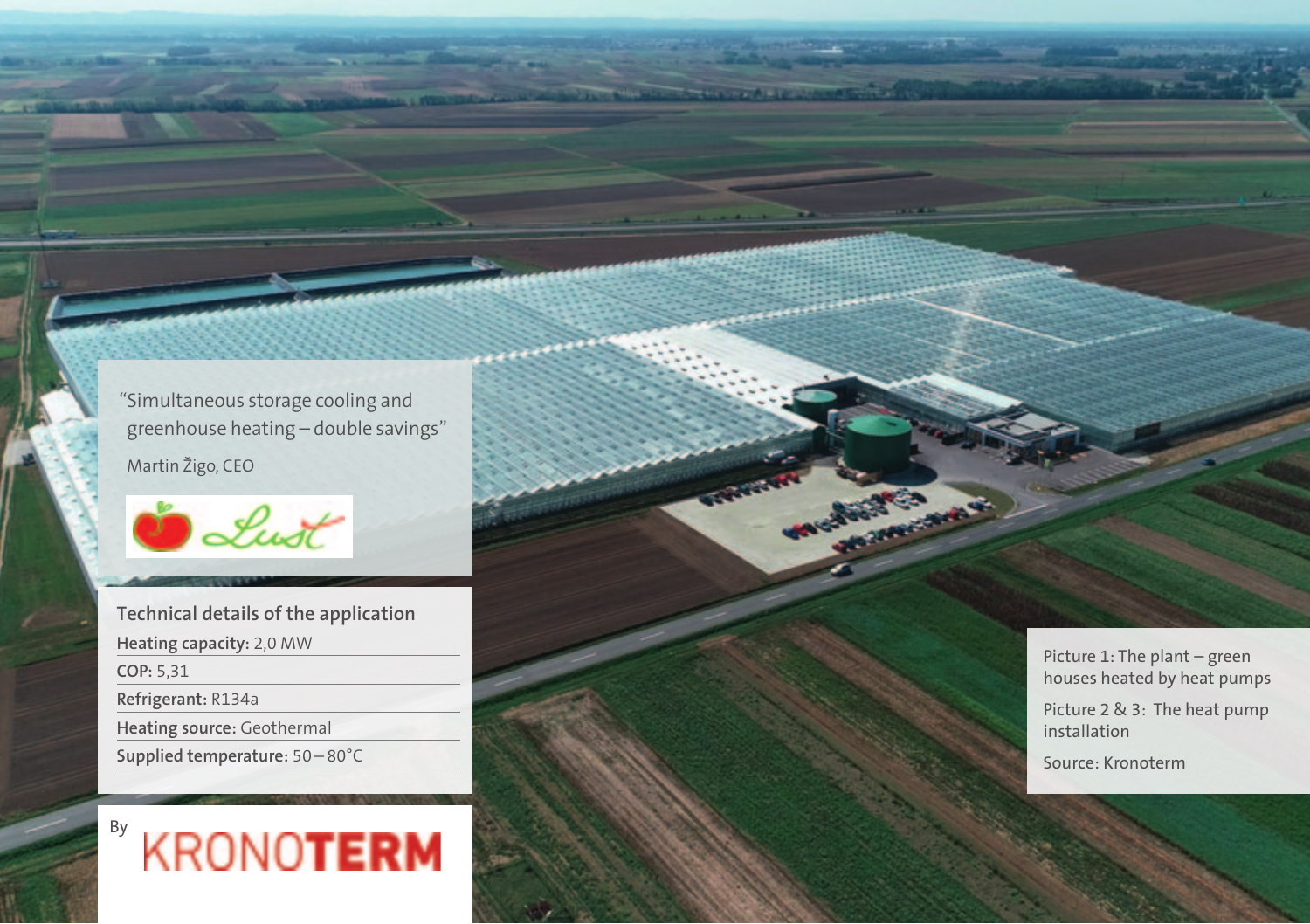"Simultaneous storage cooling and greenhouse heating – double savings"

Martin Žigo, CEO



**Technical details of the application Heating capacity:** 2,0 MW **COP:** 5,31 **Refrigerant:** R134a **Heating source:** Geothermal **Supplied temperature:** 50 – 80°C



Picture 1: The plant – green houses heated by heat pumps

Picture 2 & 3: The heat pump installation

Source: Kronoterm

**Share Some**